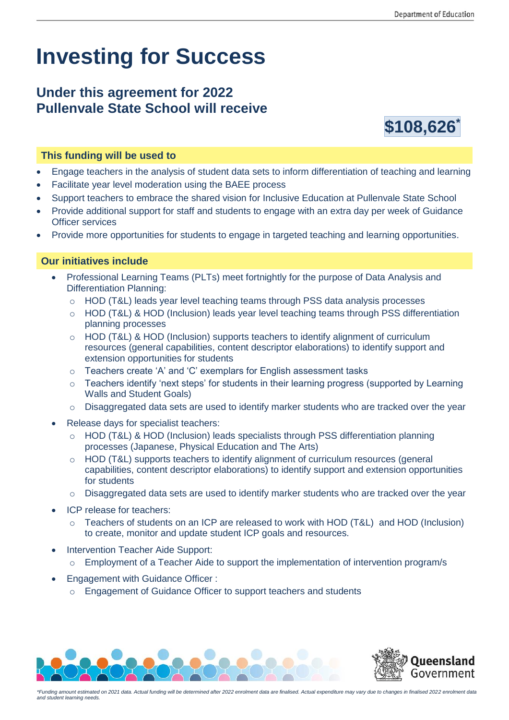# **Investing for Success**

## **Under this agreement for 2022 Pullenvale State School will receive**



#### **This funding will be used to**

- Engage teachers in the analysis of student data sets to inform differentiation of teaching and learning
- Facilitate year level moderation using the BAEE process
- Support teachers to embrace the shared vision for Inclusive Education at Pullenvale State School
- Provide additional support for staff and students to engage with an extra day per week of Guidance Officer services
- Provide more opportunities for students to engage in targeted teaching and learning opportunities.

#### **Our initiatives include**

- Professional Learning Teams (PLTs) meet fortnightly for the purpose of Data Analysis and Differentiation Planning:
	- o HOD (T&L) leads year level teaching teams through PSS data analysis processes
	- o HOD (T&L) & HOD (Inclusion) leads year level teaching teams through PSS differentiation planning processes
	- $\circ$  HOD (T&L) & HOD (Inclusion) supports teachers to identify alignment of curriculum resources (general capabilities, content descriptor elaborations) to identify support and extension opportunities for students
	- o Teachers create 'A' and 'C' exemplars for English assessment tasks
	- $\circ$  Teachers identify 'next steps' for students in their learning progress (supported by Learning Walls and Student Goals)
	- o Disaggregated data sets are used to identify marker students who are tracked over the year
- Release days for specialist teachers:
	- o HOD (T&L) & HOD (Inclusion) leads specialists through PSS differentiation planning processes (Japanese, Physical Education and The Arts)
	- o HOD (T&L) supports teachers to identify alignment of curriculum resources (general capabilities, content descriptor elaborations) to identify support and extension opportunities for students
	- $\circ$  Disaggregated data sets are used to identify marker students who are tracked over the year
- ICP release for teachers:
	- $\circ$  Teachers of students on an ICP are released to work with HOD (T&L) and HOD (Inclusion) to create, monitor and update student ICP goals and resources.
- Intervention Teacher Aide Support:
	- $\circ$  Employment of a Teacher Aide to support the implementation of intervention program/s
- Engagement with Guidance Officer :
	- o Engagement of Guidance Officer to support teachers and students





*\*Funding amount estimated on 2021 data. Actual funding will be determined after 2022 enrolment data are finalised. Actual expenditure may vary due to changes in finalised 2022 enrolment data and student learning needs.*